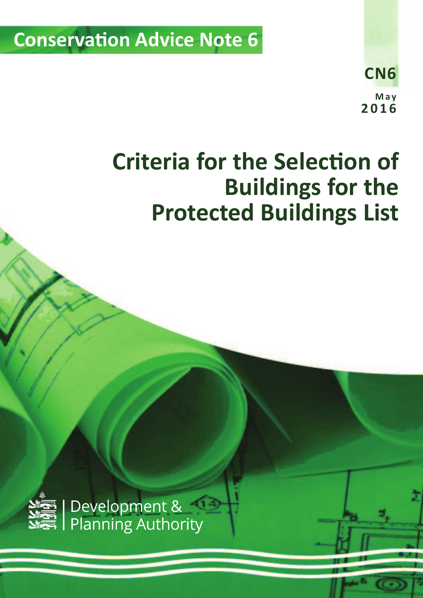**Conservation Advice Note 6** 

**CN6 M a y 2 0 1 6**

# **Criteria for the Selection of Buildings for the Protected Buildings List**

*Criteria for the Selection of Buildings for the Protected Buildings List v2 (May 2016)* 1



Development &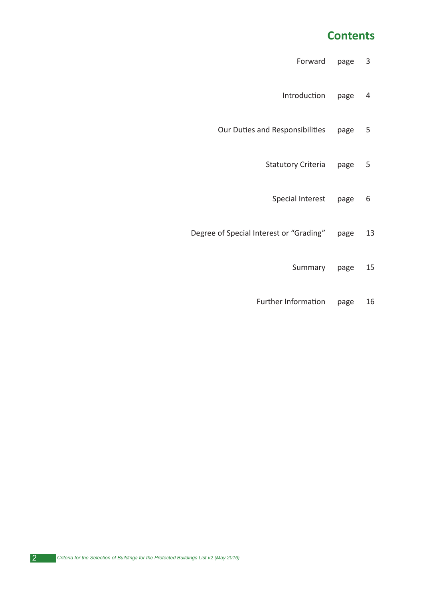### **Contents**

- Forward page 3
- Introduction page 4
- Our Duties and Responsibilities page 5
	- Statutory Criteria page 5
		- Special Interest page 6
- Degree of Special Interest or "Grading" page 13
	- Summary page 15
	- Further Information page 16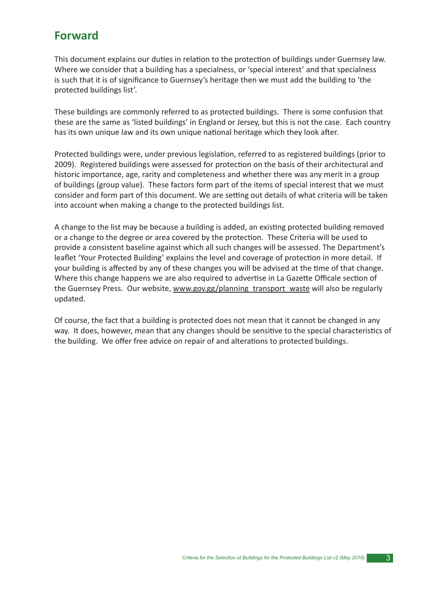### **Forward**

This document explains our duties in relation to the protection of buildings under Guernsey law. Where we consider that a building has a specialness, or 'special interest' and that specialness is such that it is of significance to Guernsey's heritage then we must add the building to 'the protected buildings list'.

These buildings are commonly referred to as protected buildings. There is some confusion that these are the same as 'listed buildings' in England or Jersey, but this is not the case. Each country has its own unique law and its own unique national heritage which they look after.

Protected buildings were, under previous legislation, referred to as registered buildings (prior to 2009). Registered buildings were assessed for protection on the basis of their architectural and historic importance, age, rarity and completeness and whether there was any merit in a group of buildings (group value). These factors form part of the items of special interest that we must consider and form part of this document. We are setting out details of what criteria will be taken into account when making a change to the protected buildings list.

A change to the list may be because a building is added, an existing protected building removed or a change to the degree or area covered by the protection. These Criteria will be used to provide a consistent baseline against which all such changes will be assessed. The Department's leaflet 'Your Protected Building' explains the level and coverage of protection in more detail. If your building is affected by any of these changes you will be advised at the time of that change. Where this change happens we are also required to advertise in La Gazette Officale section of the Guernsey Press. Our website, www.gov.gg/planning\_transport\_waste will also be regularly updated.

Of course, the fact that a building is protected does not mean that it cannot be changed in any way. It does, however, mean that any changes should be sensitive to the special characteristics of the building. We offer free advice on repair of and alterations to protected buildings.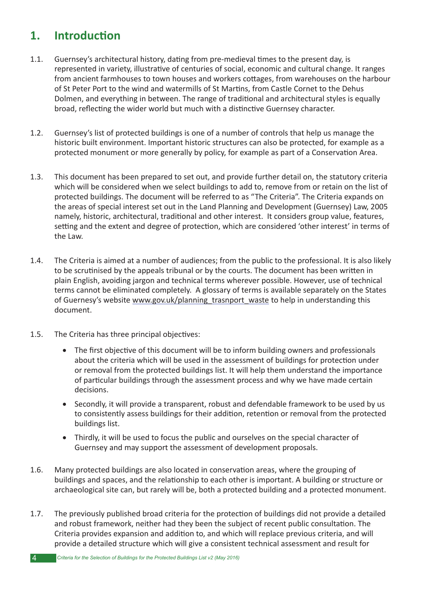# 1. **Introduction**

- 1.1. Guernsey's architectural history, dating from pre-medieval times to the present day, is represented in variety, illustrative of centuries of social, economic and cultural change. It ranges from ancient farmhouses to town houses and workers cottages, from warehouses on the harbour of St Peter Port to the wind and watermills of St Martins, from Castle Cornet to the Dehus Dolmen, and everything in between. The range of traditional and architectural styles is equally broad, reflecting the wider world but much with a distinctive Guernsey character.
- 1.2. Guernsey's list of protected buildings is one of a number of controls that help us manage the historic built environment. Important historic structures can also be protected, for example as a protected monument or more generally by policy, for example as part of a Conservation Area.
- 1.3. This document has been prepared to set out, and provide further detail on, the statutory criteria which will be considered when we select buildings to add to, remove from or retain on the list of protected buildings. The document will be referred to as "The Criteria". The Criteria expands on the areas of special interest set out in the Land Planning and Development (Guernsey) Law, 2005 namely, historic, architectural, traditional and other interest. It considers group value, features, setting and the extent and degree of protection, which are considered 'other interest' in terms of the Law.
- 1.4. The Criteria is aimed at a number of audiences; from the public to the professional. It is also likely to be scrutinised by the appeals tribunal or by the courts. The document has been written in plain English, avoiding jargon and technical terms wherever possible. However, use of technical terms cannot be eliminated completely. A glossary of terms is available separately on the States of Guernesy's website www.gov.uk/planning\_trasnport\_waste to help in understanding this document.
- 1.5. The Criteria has three principal objectives:
	- $\bullet$  The first objective of this document will be to inform building owners and professionals about the criteria which will be used in the assessment of buildings for protection under or removal from the protected buildings list. It will help them understand the importance of particular buildings through the assessment process and why we have made certain decisions.
	- Secondly, it will provide a transparent, robust and defendable framework to be used by us to consistently assess buildings for their addition, retention or removal from the protected buildings list.
	- Thirdly, it will be used to focus the public and ourselves on the special character of Guernsey and may support the assessment of development proposals.
- 1.6. Many protected buildings are also located in conservation areas, where the grouping of buildings and spaces, and the relationship to each other is important. A building or structure or archaeological site can, but rarely will be, both a protected building and a protected monument.
- 1.7. The previously published broad criteria for the protection of buildings did not provide a detailed and robust framework, neither had they been the subject of recent public consultation. The Criteria provides expansion and addition to, and which will replace previous criteria, and will provide a detailed structure which will give a consistent technical assessment and result for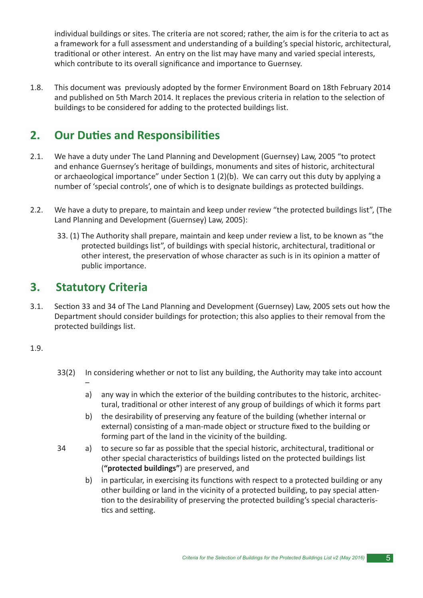individual buildings or sites. The criteria are not scored; rather, the aim is for the criteria to act as a framework for a full assessment and understanding of a building's special historic, architectural, traditional or other interest. An entry on the list may have many and varied special interests, which contribute to its overall significance and importance to Guernsey.

1.8. This document was previously adopted by the former Environment Board on 18th February 2014 and published on 5th March 2014. It replaces the previous criteria in relation to the selection of buildings to be considered for adding to the protected buildings list.

# **2. Our Duties and Responsibilities**

- 2.1. We have a duty under The Land Planning and Development (Guernsey) Law, 2005 "to protect and enhance Guernsey's heritage of buildings, monuments and sites of historic, architectural or archaeological importance" under Section  $1(2)(b)$ . We can carry out this duty by applying a number of 'special controls', one of which is to designate buildings as protected buildings.
- 2.2. We have a duty to prepare, to maintain and keep under review "the protected buildings list", (The Land Planning and Development (Guernsey) Law, 2005):
	- 33. (1) The Authority shall prepare, maintain and keep under review a list, to be known as "the protected buildings list", of buildings with special historic, architectural, traditional or other interest, the preservation of whose character as such is in its opinion a matter of public importance.

### **3. Statutory Criteria**

–

3.1. Section 33 and 34 of The Land Planning and Development (Guernsey) Law, 2005 sets out how the Department should consider buildings for protection; this also applies to their removal from the protected buildings list.

#### 1.9.

- 33(2) In considering whether or not to list any building, the Authority may take into account
	- a) any way in which the exterior of the building contributes to the historic, architectural, traditional or other interest of any group of buildings of which it forms part
	- b) the desirability of preserving any feature of the building (whether internal or external) consisting of a man-made object or structure fixed to the building or forming part of the land in the vicinity of the building.
- 34 a) to secure so far as possible that the special historic, architectural, traditional or other special characteristics of buildings listed on the protected buildings list (**"protected buildings"**) are preserved, and
	- b) in particular, in exercising its functions with respect to a protected building or any other building or land in the vicinity of a protected building, to pay special attention to the desirability of preserving the protected building's special characteristics and setting.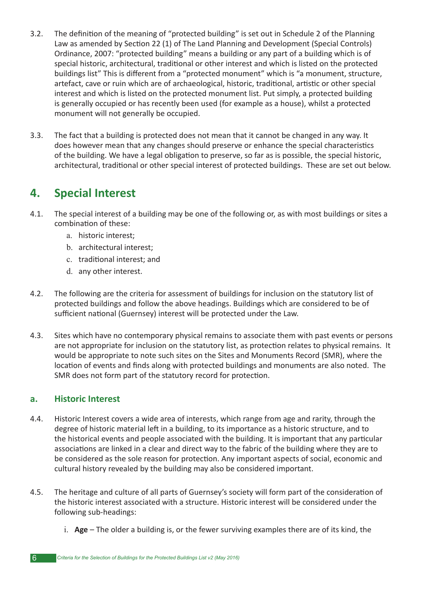- 3.2. The definition of the meaning of "protected building" is set out in Schedule 2 of the Planning Law as amended by Section 22 (1) of The Land Planning and Development (Special Controls) Ordinance, 2007: "protected building" means a building or any part of a building which is of special historic, architectural, traditional or other interest and which is listed on the protected buildings list" This is different from a "protected monument" which is "a monument, structure, artefact, cave or ruin which are of archaeological, historic, traditional, artistic or other special interest and which is listed on the protected monument list. Put simply, a protected building is generally occupied or has recently been used (for example as a house), whilst a protected monument will not generally be occupied.
- 3.3. The fact that a building is protected does not mean that it cannot be changed in any way. It does however mean that any changes should preserve or enhance the special characteristics of the building. We have a legal obligation to preserve, so far as is possible, the special historic, architectural, traditional or other special interest of protected buildings. These are set out below.

# **4. Special Interest**

- 4.1. The special interest of a building may be one of the following or, as with most buildings or sites a combination of these:
	- a. historic interest;
	- b. architectural interest;
	- c. traditional interest; and
	- d. any other interest.
- 4.2. The following are the criteria for assessment of buildings for inclusion on the statutory list of protected buildings and follow the above headings. Buildings which are considered to be of sufficient national (Guernsey) interest will be protected under the Law.
- 4.3. Sites which have no contemporary physical remains to associate them with past events or persons are not appropriate for inclusion on the statutory list, as protection relates to physical remains. It would be appropriate to note such sites on the Sites and Monuments Record (SMR), where the location of events and finds along with protected buildings and monuments are also noted. The SMR does not form part of the statutory record for protection.

### **a. Historic Interest**

- 4.4. Historic Interest covers a wide area of interests, which range from age and rarity, through the degree of historic material left in a building, to its importance as a historic structure, and to the historical events and people associated with the building. It is important that any particular associations are linked in a clear and direct way to the fabric of the building where they are to be considered as the sole reason for protection. Any important aspects of social, economic and cultural history revealed by the building may also be considered important.
- 4.5. The heritage and culture of all parts of Guernsey's society will form part of the consideration of the historic interest associated with a structure. Historic interest will be considered under the following sub-headings:
	- i. **Age**  The older a building is, or the fewer surviving examples there are of its kind, the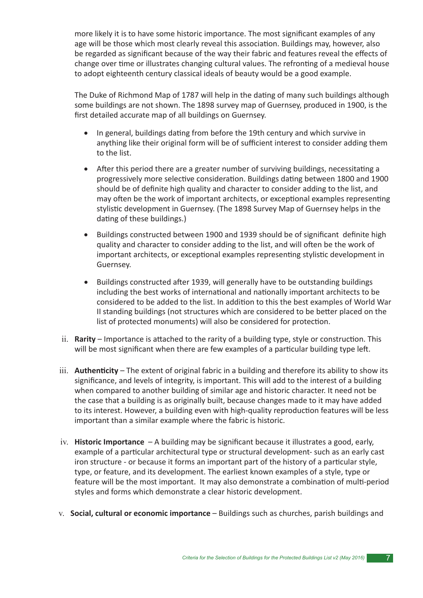more likely it is to have some historic importance. The most significant examples of any age will be those which most clearly reveal this association. Buildings may, however, also be regarded as significant because of the way their fabric and features reveal the effects of change over time or illustrates changing cultural values. The refronting of a medieval house to adopt eighteenth century classical ideals of beauty would be a good example.

The Duke of Richmond Map of 1787 will help in the dating of many such buildings although some buildings are not shown. The 1898 survey map of Guernsey, produced in 1900, is the first detailed accurate map of all buildings on Guernsey.

- In general, buildings dating from before the 19th century and which survive in anything like their original form will be of sufficient interest to consider adding them to the list.
- $\bullet$  After this period there are a greater number of surviving buildings, necessitating a progressively more selective consideration. Buildings dating between 1800 and 1900 should be of definite high quality and character to consider adding to the list, and may often be the work of important architects, or exceptional examples representing stylistic development in Guernsey. (The 1898 Survey Map of Guernsey helps in the dating of these buildings.)
- Buildings constructed between 1900 and 1939 should be of significant definite high quality and character to consider adding to the list, and will often be the work of important architects, or exceptional examples representing stylistic development in Guernsey.
- Buildings constructed after 1939, will generally have to be outstanding buildings including the best works of international and nationally important architects to be considered to be added to the list. In addition to this the best examples of World War II standing buildings (not structures which are considered to be better placed on the list of protected monuments) will also be considered for protection.
- ii. **Rarity** Importance is attached to the rarity of a building type, style or construction. This will be most significant when there are few examples of a particular building type left.
- iii. **Authenticity** The extent of original fabric in a building and therefore its ability to show its significance, and levels of integrity, is important. This will add to the interest of a building when compared to another building of similar age and historic character. It need not be the case that a building is as originally built, because changes made to it may have added to its interest. However, a building even with high-quality reproduction features will be less important than a similar example where the fabric is historic.
- iv. **Historic Importance** A building may be significant because it illustrates a good, early, example of a particular architectural type or structural development- such as an early cast iron structure - or because it forms an important part of the history of a particular style, type, or feature, and its development. The earliest known examples of a style, type or feature will be the most important. It may also demonstrate a combination of multi-period styles and forms which demonstrate a clear historic development.
- v. **Social, cultural or economic importance** Buildings such as churches, parish buildings and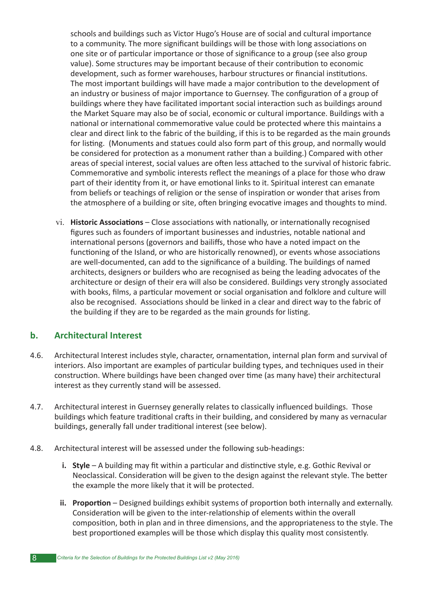schools and buildings such as Victor Hugo's House are of social and cultural importance to a community. The more significant buildings will be those with long associations on one site or of particular importance or those of significance to a group (see also group value). Some structures may be important because of their contribution to economic development, such as former warehouses, harbour structures or financial institutions. The most important buildings will have made a major contribution to the development of an industry or business of major importance to Guernsey. The configuration of a group of buildings where they have facilitated important social interaction such as buildings around the Market Square may also be of social, economic or cultural importance. Buildings with a national or international commemorative value could be protected where this maintains a clear and direct link to the fabric of the building, if this is to be regarded as the main grounds for listing. (Monuments and statues could also form part of this group, and normally would be considered for protection as a monument rather than a building.) Compared with other areas of special interest, social values are often less attached to the survival of historic fabric. Commemorative and symbolic interests reflect the meanings of a place for those who draw part of their identity from it, or have emotional links to it. Spiritual interest can emanate from beliefs or teachings of religion or the sense of inspiration or wonder that arises from the atmosphere of a building or site, often bringing evocative images and thoughts to mind.

vi. **Historic Associations** – Close associations with nationally, or internationally recognised figures such as founders of important businesses and industries, notable national and international persons (governors and bailiffs, those who have a noted impact on the functioning of the Island, or who are historically renowned), or events whose associations are well-documented, can add to the significance of a building. The buildings of named architects, designers or builders who are recognised as being the leading advocates of the architecture or design of their era will also be considered. Buildings very strongly associated with books, films, a particular movement or social organisation and folklore and culture will also be recognised. Associations should be linked in a clear and direct way to the fabric of the building if they are to be regarded as the main grounds for listing.

### **b. Architectural Interest**

- 4.6. Architectural Interest includes style, character, ornamentation, internal plan form and survival of interiors. Also important are examples of particular building types, and techniques used in their construction. Where buildings have been changed over time (as many have) their architectural interest as they currently stand will be assessed.
- 4.7. Architectural interest in Guernsey generally relates to classically influenced buildings. Those buildings which feature traditional crafts in their building, and considered by many as vernacular buildings, generally fall under traditional interest (see below).
- 4.8. Architectural interest will be assessed under the following sub-headings:
	- **i. Style** A building may fit within a particular and distinctive style, e.g. Gothic Revival or Neoclassical. Consideration will be given to the design against the relevant style. The better the example the more likely that it will be protected.
	- ii. Proportion Designed buildings exhibit systems of proportion both internally and externally. Consideration will be given to the inter-relationship of elements within the overall composition, both in plan and in three dimensions, and the appropriateness to the style. The best proportioned examples will be those which display this quality most consistently.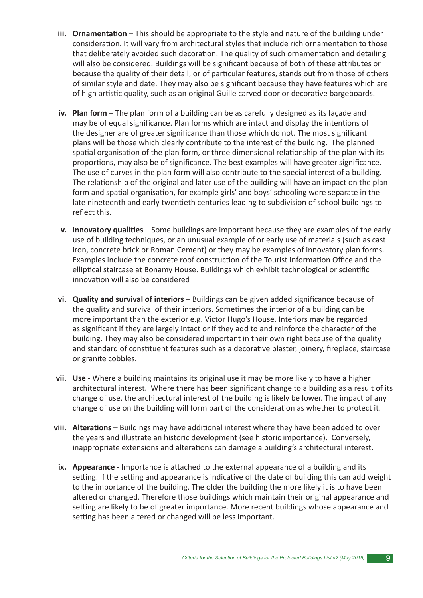- **iii. Ornamentation** This should be appropriate to the style and nature of the building under consideration. It will vary from architectural styles that include rich ornamentation to those that deliberately avoided such decoration. The quality of such ornamentation and detailing will also be considered. Buildings will be significant because of both of these attributes or because the quality of their detail, or of particular features, stands out from those of others of similar style and date. They may also be significant because they have features which are of high artistic quality, such as an original Guille carved door or decorative bargeboards.
- **iv. Plan form** The plan form of a building can be as carefully designed as its façade and may be of equal significance. Plan forms which are intact and display the intentions of the designer are of greater significance than those which do not. The most significant plans will be those which clearly contribute to the interest of the building. The planned spatial organisation of the plan form, or three dimensional relationship of the plan with its proportions, may also be of significance. The best examples will have greater significance. The use of curves in the plan form will also contribute to the special interest of a building. The relationship of the original and later use of the building will have an impact on the plan form and spatial organisation, for example girls' and boys' schooling were separate in the late nineteenth and early twentieth centuries leading to subdivision of school buildings to reflect this.
- **v. Innovatory qualities** Some buildings are important because they are examples of the early use of building techniques, or an unusual example of or early use of materials (such as cast iron, concrete brick or Roman Cement) or they may be examples of innovatory plan forms. Examples include the concrete roof construction of the Tourist Information Office and the elliptical staircase at Bonamy House. Buildings which exhibit technological or scientific innovation will also be considered
- vi. Quality and survival of interiors Buildings can be given added significance because of the quality and survival of their interiors. Sometimes the interior of a building can be more important than the exterior e.g. Victor Hugo's House. Interiors may be regarded as significant if they are largely intact or if they add to and reinforce the character of the building. They may also be considered important in their own right because of the quality and standard of constituent features such as a decorative plaster, joinery, fireplace, staircase or granite cobbles.
- **vii. Use**  Where a building maintains its original use it may be more likely to have a higher architectural interest. Where there has been significant change to a building as a result of its change of use, the architectural interest of the building is likely be lower. The impact of any change of use on the building will form part of the consideration as whether to protect it.
- viii. Alterations Buildings may have additional interest where they have been added to over the years and illustrate an historic development (see historic importance). Conversely, inappropriate extensions and alterations can damage a building's architectural interest.
	- ix. Appearance Importance is attached to the external appearance of a building and its setting. If the setting and appearance is indicative of the date of building this can add weight to the importance of the building. The older the building the more likely it is to have been altered or changed. Therefore those buildings which maintain their original appearance and setting are likely to be of greater importance. More recent buildings whose appearance and setting has been altered or changed will be less important.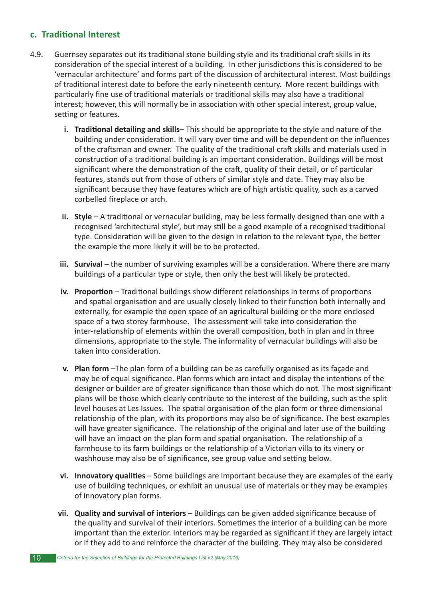### **c.** Traditional Interest

- 4.9. Guernsey separates out its traditional stone building style and its traditional craft skills in its consideration of the special interest of a building. In other jurisdictions this is considered to be 'vernacular architecture' and forms part of the discussion of architectural interest. Most buildings of traditional interest date to before the early nineteenth century. More recent buildings with particularly fine use of traditional materials or traditional skills may also have a traditional interest; however, this will normally be in association with other special interest, group value, setting or features.
	- **i. Traditional detailing and skills–** This should be appropriate to the style and nature of the building under consideration. It will vary over time and will be dependent on the influences of the craftsman and owner. The quality of the traditional craft skills and materials used in construction of a traditional building is an important consideration. Buildings will be most significant where the demonstration of the craft, quality of their detail, or of particular features, stands out from those of others of similar style and date. They may also be significant because they have features which are of high artistic quality, such as a carved corbelled fireplace or arch.
	- ii. Style A traditional or vernacular building, may be less formally designed than one with a recognised 'architectural style', but may still be a good example of a recognised traditional type. Consideration will be given to the design in relation to the relevant type, the better the example the more likely it will be to be protected.
	- **iii. Survival** the number of surviving examples will be a consideration. Where there are many buildings of a particular type or style, then only the best will likely be protected.
	- **iv. Proportion** Traditional buildings show different relationships in terms of proportions and spatial organisation and are usually closely linked to their function both internally and externally, for example the open space of an agricultural building or the more enclosed space of a two storey farmhouse. The assessment will take into consideration the inter-relationship of elements within the overall composition, both in plan and in three dimensions, appropriate to the style. The informality of vernacular buildings will also be taken into consideration.
	- **v. Plan form** –The plan form of a building can be as carefully organised as its façade and may be of equal significance. Plan forms which are intact and display the intentions of the designer or builder are of greater significance than those which do not. The most significant plans will be those which clearly contribute to the interest of the building, such as the split level houses at Les Issues. The spatial organisation of the plan form or three dimensional relationship of the plan, with its proportions may also be of significance. The best examples will have greater significance. The relationship of the original and later use of the building will have an impact on the plan form and spatial organisation. The relationship of a farmhouse to its farm buildings or the relationship of a Victorian villa to its vinery or washhouse may also be of significance, see group value and setting below.
	- **vi. Innovatory qualities** Some buildings are important because they are examples of the early use of building techniques, or exhibit an unusual use of materials or they may be examples of innovatory plan forms.
	- vii. Quality and survival of interiors Buildings can be given added significance because of the quality and survival of their interiors. Sometimes the interior of a building can be more important than the exterior. Interiors may be regarded as significant if they are largely intact or if they add to and reinforce the character of the building. They may also be considered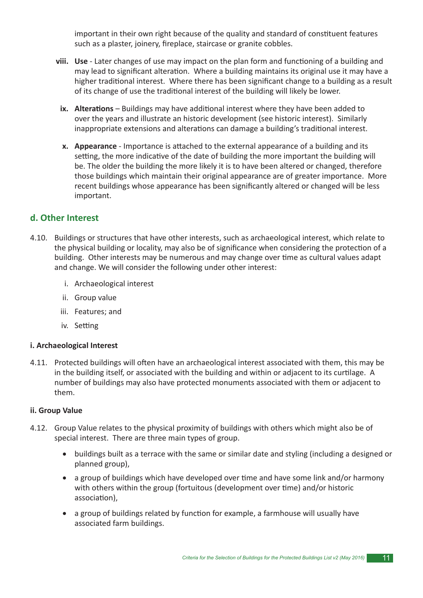important in their own right because of the quality and standard of constituent features such as a plaster, joinery, fireplace, staircase or granite cobbles.

- **viii.** Use Later changes of use may impact on the plan form and functioning of a building and may lead to significant alteration. Where a building maintains its original use it may have a higher traditional interest. Where there has been significant change to a building as a result of its change of use the traditional interest of the building will likely be lower.
	- **ix.** Alterations Buildings may have additional interest where they have been added to over the years and illustrate an historic development (see historic interest). Similarly inappropriate extensions and alterations can damage a building's traditional interest.
	- **x.** Appearance Importance is attached to the external appearance of a building and its setting, the more indicative of the date of building the more important the building will be. The older the building the more likely it is to have been altered or changed, therefore those buildings which maintain their original appearance are of greater importance. More recent buildings whose appearance has been significantly altered or changed will be less important.

#### **d. Other Interest**

- 4.10. Buildings or structures that have other interests, such as archaeological interest, which relate to the physical building or locality, may also be of significance when considering the protection of a building. Other interests may be numerous and may change over time as cultural values adapt and change. We will consider the following under other interest:
	- i. Archaeological interest
	- ii. Group value
	- iii. Features; and
	- iv. Setting

#### **i. Archaeological Interest**

4.11. Protected buildings will often have an archaeological interest associated with them, this may be in the building itself, or associated with the building and within or adjacent to its curtilage. A number of buildings may also have protected monuments associated with them or adjacent to them.

#### **ii. Group Value**

- 4.12. Group Value relates to the physical proximity of buildings with others which might also be of special interest. There are three main types of group.
	- buildings built as a terrace with the same or similar date and styling (including a designed or planned group),
	- a group of buildings which have developed over time and have some link and/or harmony with others within the group (fortuitous (development over time) and/or historic association),
	- a group of buildings related by function for example, a farmhouse will usually have associated farm buildings.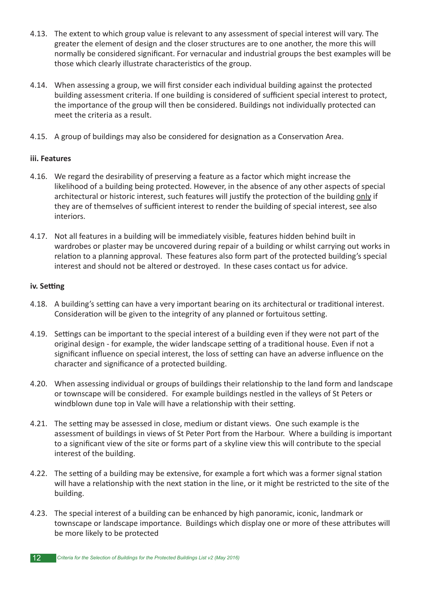- 4.13. The extent to which group value is relevant to any assessment of special interest will vary. The greater the element of design and the closer structures are to one another, the more this will normally be considered significant. For vernacular and industrial groups the best examples will be those which clearly illustrate characteristics of the group.
- 4.14. When assessing a group, we will first consider each individual building against the protected building assessment criteria. If one building is considered of sufficient special interest to protect, the importance of the group will then be considered. Buildings not individually protected can meet the criteria as a result.
- 4.15. A group of buildings may also be considered for designation as a Conservation Area.

#### **iii. Features**

- 4.16. We regard the desirability of preserving a feature as a factor which might increase the likelihood of a building being protected. However, in the absence of any other aspects of special architectural or historic interest, such features will justify the protection of the building only if they are of themselves of sufficient interest to render the building of special interest, see also interiors.
- 4.17. Not all features in a building will be immediately visible, features hidden behind built in wardrobes or plaster may be uncovered during repair of a building or whilst carrying out works in relation to a planning approval. These features also form part of the protected building's special interest and should not be altered or destroyed. In these cases contact us for advice.

#### **iv.** Setting

- 4.18. A building's setting can have a very important bearing on its architectural or traditional interest. Consideration will be given to the integrity of any planned or fortuitous setting.
- 4.19. Settings can be important to the special interest of a building even if they were not part of the original design - for example, the wider landscape setting of a traditional house. Even if not a significant influence on special interest, the loss of setting can have an adverse influence on the character and significance of a protected building.
- 4.20. When assessing individual or groups of buildings their relationship to the land form and landscape or townscape will be considered. For example buildings nestled in the valleys of St Peters or windblown dune top in Vale will have a relationship with their setting.
- 4.21. The setting may be assessed in close, medium or distant views. One such example is the assessment of buildings in views of St Peter Port from the Harbour. Where a building is important to a significant view of the site or forms part of a skyline view this will contribute to the special interest of the building.
- 4.22. The setting of a building may be extensive, for example a fort which was a former signal station will have a relationship with the next station in the line, or it might be restricted to the site of the building.
- 4.23. The special interest of a building can be enhanced by high panoramic, iconic, landmark or townscape or landscape importance. Buildings which display one or more of these attributes will be more likely to be protected
- 12 *Criteria for the Selection of Buildings for the Protected Buildings List v2 (May 2016)*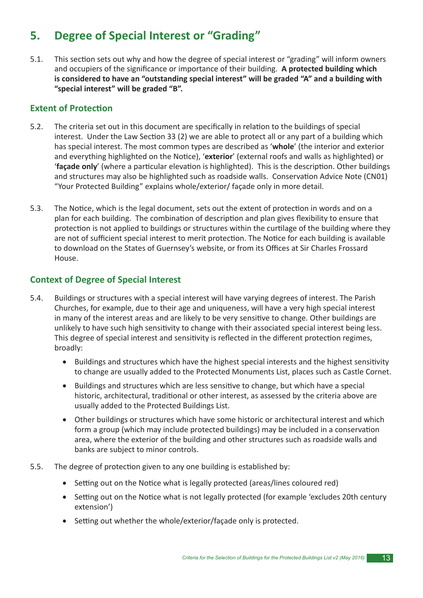# **5. Degree of Special Interest or "Grading"**

5.1. This section sets out why and how the degree of special interest or "grading" will inform owners and occupiers of the significance or importance of their building. A protected building which **is considered to have an "outstanding special interest" will be graded "A" and a building with "special interest" will be graded "B".**

### **Extent of Protection**

- 5.2. The criteria set out in this document are specifically in relation to the buildings of special interest. Under the Law Section 33 (2) we are able to protect all or any part of a building which has special interest. The most common types are described as '**whole**' (the interior and exterior and everything highlighted on the Notice), 'exterior' (external roofs and walls as highlighted) or 'façade only' (where a particular elevation is highlighted). This is the description. Other buildings and structures may also be highlighted such as roadside walls. Conservation Advice Note (CN01) "Your Protected Building" explains whole/exterior/ façade only in more detail.
- 5.3. The Notice, which is the legal document, sets out the extent of protection in words and on a plan for each building. The combination of description and plan gives flexibility to ensure that protection is not applied to buildings or structures within the curtilage of the building where they are not of sufficient special interest to merit protection. The Notice for each building is available to download on the States of Guernsey's website, or from its Offices at Sir Charles Frossard House.

### **Context of Degree of Special Interest**

- 5.4. Buildings or structures with a special interest will have varying degrees of interest. The Parish Churches, for example, due to their age and uniqueness, will have a very high special interest in many of the interest areas and are likely to be very sensitive to change. Other buildings are unlikely to have such high sensitivity to change with their associated special interest being less. This degree of special interest and sensitivity is reflected in the different protection regimes, broadly:
	- Buildings and structures which have the highest special interests and the highest sensitivity to change are usually added to the Protected Monuments List, places such as Castle Cornet.
	- Buildings and structures which are less sensitive to change, but which have a special historic, architectural, traditional or other interest, as assessed by the criteria above are usually added to the Protected Buildings List.
	- Other buildings or structures which have some historic or architectural interest and which form a group (which may include protected buildings) may be included in a conservation area, where the exterior of the building and other structures such as roadside walls and banks are subject to minor controls.
- 5.5. The degree of protection given to any one building is established by:
	- Setting out on the Notice what is legally protected (areas/lines coloured red)
	- Setting out on the Notice what is not legally protected (for example 'excludes 20th century extension')
	- Setting out whether the whole/exterior/façade only is protected.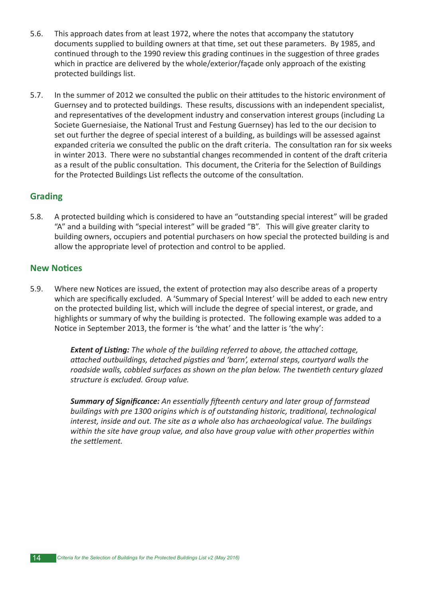- 5.6. This approach dates from at least 1972, where the notes that accompany the statutory documents supplied to building owners at that time, set out these parameters. By 1985, and continued through to the 1990 review this grading continues in the suggestion of three grades which in practice are delivered by the whole/exterior/façade only approach of the existing protected buildings list.
- 5.7. In the summer of 2012 we consulted the public on their attitudes to the historic environment of Guernsey and to protected buildings. These results, discussions with an independent specialist, and representatives of the development industry and conservation interest groups (including La Societe Guernesiaise, the National Trust and Festung Guernsey) has led to the our decision to set out further the degree of special interest of a building, as buildings will be assessed against expanded criteria we consulted the public on the draft criteria. The consultation ran for six weeks in winter 2013. There were no substantial changes recommended in content of the draft criteria as a result of the public consultation. This document, the Criteria for the Selection of Buildings for the Protected Buildings List reflects the outcome of the consultation.

### **Grading**

5.8. A protected building which is considered to have an "outstanding special interest" will be graded "A" and a building with "special interest" will be graded "B". This will give greater clarity to building owners, occupiers and potential purchasers on how special the protected building is and allow the appropriate level of protection and control to be applied.

### **New Notices**

5.9. Where new Notices are issued, the extent of protection may also describe areas of a property which are specifically excluded. A 'Summary of Special Interest' will be added to each new entry on the protected building list, which will include the degree of special interest, or grade, and highlights or summary of why the building is protected. The following example was added to a Notice in September 2013, the former is 'the what' and the latter is 'the why':

> **Extent of Listing:** The whole of the building referred to above, the attached cottage, attached outbuildings, detached pigsties and 'barn', external steps, courtyard walls the roadside walls, cobbled surfaces as shown on the plan below. The twentieth century glazed *structure is excluded. Group value.*

**Summary of Significance:** An essentially fifteenth century and later group of farmstead buildings with pre 1300 origins which is of outstanding historic, traditional, technological *interest, inside and out. The site as a whole also has archaeological value. The buildings within the site have group value, and also have group value with other properties within* the settlement.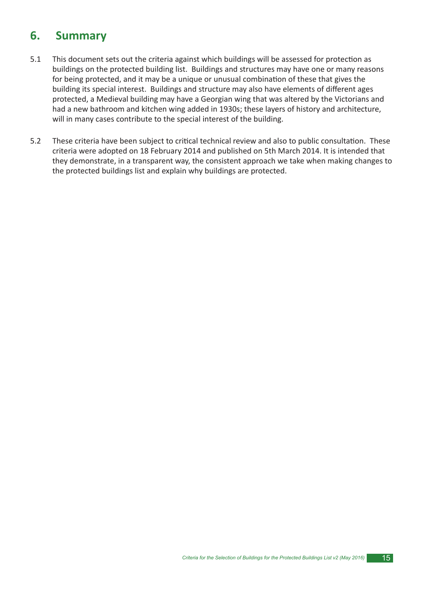# **6. Summary**

- 5.1 This document sets out the criteria against which buildings will be assessed for protection as buildings on the protected building list. Buildings and structures may have one or many reasons for being protected, and it may be a unique or unusual combination of these that gives the building its special interest. Buildings and structure may also have elements of different ages protected, a Medieval building may have a Georgian wing that was altered by the Victorians and had a new bathroom and kitchen wing added in 1930s; these layers of history and architecture, will in many cases contribute to the special interest of the building.
- 5.2 These criteria have been subject to critical technical review and also to public consultation. These criteria were adopted on 18 February 2014 and published on 5th March 2014. It is intended that they demonstrate, in a transparent way, the consistent approach we take when making changes to the protected buildings list and explain why buildings are protected.